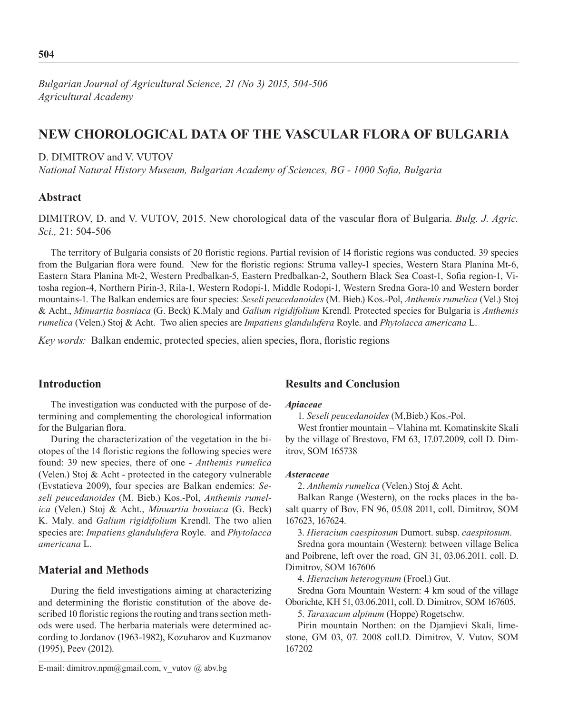# **New chorological data of the vascular flora of Bulgaria**

# D. DIMITROV and V. VUTOV

*National Natural History Museum, Bulgarian Academy of Sciences, BG - 1000 Sofia, Bulgaria*

# **Abstract**

DIMITROV, D. and V. VUTOV, 2015. New chorological data of the vascular flora of Bulgaria. *Bulg. J. Agric. Sci.,* 21: 504-506

The territory of Bulgaria consists of 20 floristic regions. Partial revision of 14 floristic regions was conducted. 39 species from the Bulgarian flora were found. New for the floristic regions: Struma valley-1 species, Western Stara Planina Mt-6, Eastern Stara Planina Mt-2, Western Predbalkan-5, Eastern Predbalkan-2, Southern Black Sea Coast-1, Sofia region-1, Vitosha region-4, Northern Pirin-3, Rila-1, Western Rodopi-1, Middle Rodopi-1, Western Sredna Gora-10 and Western border mountains-1. The Balkan endemics are four species: *Seseli peucedanoides* (M. Bieb.) Kos.-Pol, *Anthemis rumelica* (Vel.) Stoj & Acht., *Minuartia bosniaca* (G. Beck) K.Maly and *Galium rigidifolium* Krendl. Protected species for Bulgaria is *Anthemis rumelica* (Velen.) Stoj & Acht. Two alien species are *Impatiens glandulufera* Royle. and *Phytolacca americana* L.

*Key words:* Balkan endemic, protected species, alien species, flora, floristic regions

# **Introduction**

The investigation was conducted with the purpose of determining and complementing the chorological information for the Bulgarian flora.

During the characterization of the vegetation in the biotopes of the 14 floristic regions the following species were found: 39 new species, there of one - *Anthemis rumelica* (Velen.) Stoj & Acht - protected in the category vulnerable (Evstatieva 2009), four species are Balkan endemics: *Seseli peucedanoides* (M. Bieb.) Kos.-Pol, *Anthemis rumelica* (Velen.) Stoj & Acht., *Minuartia bosniaca* (G. Beck) K. Maly. and *Galium rigidifolium* Krendl. The two alien species are: *Impatiens glandulufera* Royle. and *Phytolacca americana* L.

# **Material and Methods**

During the field investigations aiming at characterizing and determining the floristic constitution of the above described 10 floristic regions the routing and trans section methods were used. The herbaria materials were determined according to Jordanov (1963-1982), Kozuharov and Kuzmanov (1995), Peev (2012).

### **Results and Conclusion**

### *Apiaceae*

1. *Seseli peucedanoides* (M,Bieb.) Kos.-Pol.

West frontier mountain – Vlahina mt. Komatinskite Skali by the village of Brestovo, FM 63, 17.07.2009, coll D. Dimitrov, SOM 165738

### *Asteraceae*

2. *Anthemis rumelica* (Velen.) Stoj & Acht.

Balkan Range (Western), on the rocks places in the basalt quarry of Bov, FN 96, 05.08 2011, coll. Dimitrov, SOM 167623, 167624.

3. *Hieracium caespitosum* Dumort. subsp. *caespitosum.* 

Sredna gora mountain (Western): between village Belica and Poibrene, left over the road, GN 31, 03.06.2011. coll. D. Dimitrov, SOM 167606

4. *Hieracium heterogynum* (Froel.) Gut.

Sredna Gora Mountain Western: 4 km soud of the village Oborichte, KH 51, 03.06.2011, coll. D. Dimitrov, SOM 167605.

5. *Taraxacum alpinum* (Hoppe) Rogetschw.

Pirin mountain Northen: on the Djamjievi Skali, limestone, GM 03, 07. 2008 coll.D. Dimitrov, V. Vutov, SOM 167202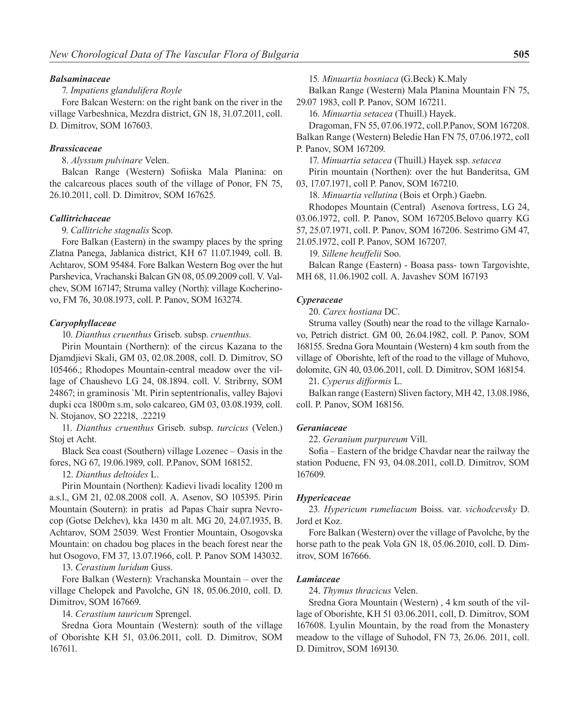#### *Balsaminaceae*

### 7. *Impatiens glandulifera Royle*

Fore Balcan Western: on the right bank on the river in the village Varbeshnica, Mezdra district, GN 18, 31.07.2011, coll. D. Dimitrov, SOM 167603.

### *Brassicaceae*

8. *Alyssum pulvinare* Velen.

Balcan Range (Western) Sofiiska Mala Planina: on the calcareous places south of the village of Ponor, FN 75, 26.10.2011, coll. D. Dimitrov, SOM 167625.

#### *Callitrichaceae*

9. *Callitriche stagnalis* Scop.

Fore Balkan (Eastern) in the swampy places by the spring Zlatna Panega, Jablanica district, KH 67 11.07.1949, coll. B. Achtarov, SOM 95484. Fore Balkan Western Bog over the hut Parshevica, Vrachanski Balcan GN 08, 05.09.2009 coll. V. Valchev, SOM 167147; Struma valley (North): village Kocherinovo, FM 76, 30.08.1973, coll. P. Panov, SOM 163274.

#### *Caryophyllaceae*

10. *Dianthus cruenthus* Griseb. subsp. *cruenthus*.

Pirin Mountain (Northern): of the circus Kazana to the Djamdjievi Skali, GM 03, 02.08.2008, coll. D. Dimitrov, SO 105466.; Rhodopes Mountain-central meadow over the village of Chaushevo LG 24, 08.1894. coll. V. Stribrny, SOM 24867; in graminosis `Mt. Pirin septentrionalis, valley Bajovi dupki cca 1800m s.m, solo calcareo, GM 03, 03.08.1939, coll. N. Stojanov, SO 22218, .22219

11. *Dianthus cruenthus* Griseb. subsp. *turcicus* (Velen.) Stoj et Acht.

Black Sea coast (Southern) village Lozenec – Oasis in the fores, NG 67, 19.06.1989, coll. P.Panov, SOM 168152.

12. *Dianthus deltoides* L.

Pirin Mountain (Northen): Kadievi livadi locality 1200 m a.s.l., GM 21, 02.08.2008 coll. A. Asenov, SO 105395. Pirin Mountain (Soutern): in pratis ad Papas Chair supra Nevrocop (Gotse Delchev), kka 1430 m alt. MG 20, 24.07.1935, B. Achtarov, SOM 25039. West Frontier Mountain, Osogovska Mountain: on chadou bog places in the beach forest near the hut Osogovo, FM 37, 13.07.1966, coll. P. Panov SOM 143032.

13. *Cerastium luridum* Guss.

Fore Balkan (Western): Vrachanska Mountain – over the village Chelopek and Pavolche, GN 18, 05.06.2010, coll. D. Dimitrov, SOM 167669.

14. *Cerastium tauricum* Sprengel.

Sredna Gora Mountain (Western): south of the village of Oborishte KH 51, 03.06.2011, coll. D. Dimitrov, SOM 167611.

15*. Minuartia bosniaca* (G.Beck) K.Maly

Balkan Range (Western) Mala Planina Mountain FN 75, 29.07 1983, coll P. Panov, SOM 167211.

16. *Minuartia setacea* (Thuill.) Hayek.

Dragoman, FN 55, 07.06.1972, coll.P.Panov, SOM 167208. Balkan Range (Western) Beledie Han FN 75, 07.06.1972, coll P. Panov, SOM 167209.

17. *Minuartia setacea* (Thuill.) Hayek ssp. *setacea* Pirin mountain (Northen): over the hut Banderitsa, GM

03, 17.07.1971, coll P. Panov, SOM 167210. 18. *Minuartia vellutina* (Bois et Orph.) Gaebn.

Rhodopes Mountain (Central) Asenova fortress, LG 24,

03.06.1972, coll. P. Panov, SOM 167205.Belovo quarry KG 57, 25.07.1971, coll. P. Panov, SOM 167206. Sestrimo GM 47,

21.05.1972, coll P. Panov, SOM 167207.

19. *Sillene heuffelii* Soo.

Balcan Range (Eastern) - Boasa pass- town Targovishte, MH 68, 11.06.1902 coll. A. Javashev SOM 167193

### *Cyperaceae*

20. *Carex hostiana* DC.

Struma valley (South) near the road to the village Karnalovo, Petrich district. GM 00, 26.04.1982, coll. P. Panov, SOM 168155. Sredna Gora Mountain (Western) 4 km south from the village of Oborishte, left of the road to the village of Muhovo, dolomite, GN 40, 03.06.2011, coll. D. Dimitrov, SOM 168154.

21. *Cyperus difformis* L.

Balkan range (Eastern) Sliven factory, MH 42, 13.08.1986, coll. P. Panov, SOM 168156.

#### *Geraniaceae*

22. *Geranium purpureum* Vill.

Sofia – Eastern of the bridge Chavdar near the railway the station Poduene, FN 93, 04.08.2011, coll.D. Dimitrov, SOM 167609.

#### *Hypericaceae*

23*. Hypericum rumeliacum* Boiss. var. *vichodcevsky* D. Jord et Koz.

Fore Balkan (Western) over the village of Pavolche, by the horse path to the peak Vola GN 18, 05.06.2010, coll. D. Dimitrov, SOM 167666.

### *Lamiaceae*

24. *Thymus thracicus* Velen.

Sredna Gora Mountain (Western) , 4 km south of the village of Oborishte, KH 51 03.06.2011, coll, D. Dimitrov, SOM 167608. Lyulin Mountain, by the road from the Monastery meadow to the village of Suhodol, FN 73, 26.06. 2011, coll. D. Dimitrov, SOM 169130.